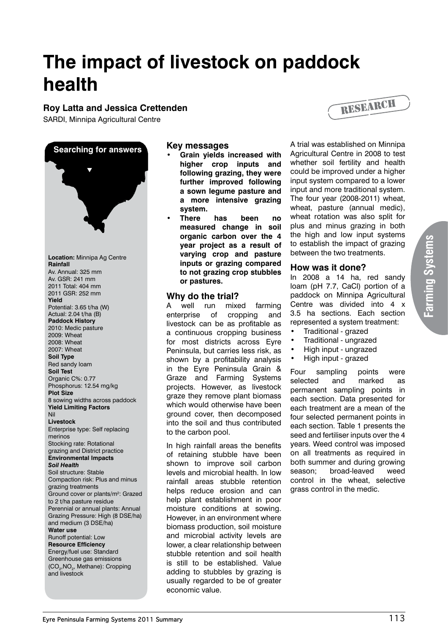# **The impact of livestock on paddock health**

## **Roy Latta and Jessica Crettenden**

SARDI, Minnipa Agricultural Centre



#### **Key messages**

- **• Grain yields increased with higher crop inputs and following grazing, they were further improved following a sown legume pasture and a more intensive grazing system.**
- **• There has been no measured change in soil organic carbon over the 4 year project as a result of varying crop and pasture inputs or grazing compared to not grazing crop stubbles or pastures.**

#### **Why do the trial?**

A well run mixed farming enterprise of cropping and livestock can be as profitable as a continuous cropping business for most districts across Eyre Peninsula, but carries less risk, as shown by a profitability analysis in the Eyre Peninsula Grain & Graze and Farming Systems projects. However, as livestock graze they remove plant biomass which would otherwise have been ground cover, then decomposed into the soil and thus contributed to the carbon pool.

In high rainfall areas the benefits of retaining stubble have been shown to improve soil carbon levels and microbial health. In low rainfall areas stubble retention helps reduce erosion and can help plant establishment in poor moisture conditions at sowing. However, in an environment where biomass production, soil moisture and microbial activity levels are lower, a clear relationship between stubble retention and soil health is still to be established. Value adding to stubbles by grazing is usually regarded to be of greater economic value.



A trial was established on Minnipa Agricultural Centre in 2008 to test whether soil fertility and health could be improved under a higher input system compared to a lower input and more traditional system. The four year (2008-2011) wheat, wheat, pasture (annual medic), wheat rotation was also split for plus and minus grazing in both the high and low input systems to establish the impact of grazing between the two treatments.

#### **How was it done?**

In 2008 a 14 ha, red sandy loam (pH 7.7, CaCl) portion of a paddock on Minnipa Agricultural Centre was divided into 4 x 3.5 ha sections. Each section represented a system treatment:

- Traditional grazed
- Traditional ungrazed
- High input ungrazed
- High input grazed

Four sampling points were selected and marked as permanent sampling points in each section. Data presented for each treatment are a mean of the four selected permanent points in each section. Table 1 presents the seed and fertiliser inputs over the 4 years. Weed control was imposed on all treatments as required in both summer and during growing season; broad-leaved weed control in the wheat, selective grass control in the medic.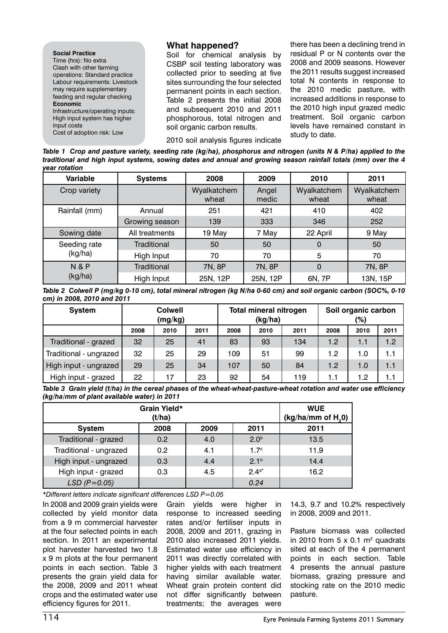#### **Social Practice** Time (hrs): No extra Clash with other farming operations: Standard practice Labour requirements: Livestock may require supplementary feeding and regular checking **Economic** Infrastructure/operating inputs: High input system has higher input costs

Cost of adoption risk: Low

#### **What happened?**

Soil for chemical analysis by CSBP soil testing laboratory was collected prior to seeding at five sites surrounding the four selected permanent points in each section. Table 2 presents the initial 2008 and subsequent 2010 and 2011 phosphorous, total nitrogen and soil organic carbon results.

2010 soil analysis figures indicate

there has been a declining trend in residual P or N contents over the 2008 and 2009 seasons. However the 2011 results suggest increased total N contents in response to the 2010 medic pasture, with increased additions in response to the 2010 high input grazed medic treatment. Soil organic carbon levels have remained constant in study to date.

*Table 1 Crop and pasture variety, seeding rate (kg/ha), phosphorus and nitrogen (units N & P/ha) applied to the traditional and high input systems, sowing dates and annual and growing season rainfall totals (mm) over the 4 year rotation*

| Variable                  | <b>Systems</b> | 2008                 | 2009           | 2010                 | 2011                 |
|---------------------------|----------------|----------------------|----------------|----------------------|----------------------|
| Crop variety              |                | Wyalkatchem<br>wheat | Angel<br>medic | Wyalkatchem<br>wheat | Wyalkatchem<br>wheat |
| Rainfall (mm)             | Annual         | 251                  | 421            | 410                  | 402                  |
|                           | Growing season | 139                  | 333            | 346                  | 252                  |
| Sowing date               | All treatments | 19 May               | 7 May          | 22 April             | 9 May                |
| Seeding rate              | Traditional    | 50                   | 50             | $\overline{0}$       | 50                   |
| (kg/ha)                   | High Input     | 70                   | 70             | 5                    | 70                   |
| <b>N&amp;P</b><br>(kg/ha) | Traditional    | 7N, 8P               | 7N, 8P         | $\Omega$             | 7N, 8P               |
|                           | High Input     | 25N, 12P             | 25N, 12P       | 6N, 7P               | 13N, 15P             |

*Table 2 Colwell P (mg/kg 0-10 cm), total mineral nitrogen (kg N/ha 0-60 cm) and soil organic carbon (SOC%, 0-10 cm) in 2008, 2010 and 2011*

| <b>System</b>          | <b>Colwell</b><br>(mg/kg) |      |      | <b>Total mineral nitrogen</b><br>(kg/ha) |      |      | Soil organic carbon<br>(%) |      |      |
|------------------------|---------------------------|------|------|------------------------------------------|------|------|----------------------------|------|------|
|                        | 2008                      | 2010 | 2011 | 2008                                     | 2010 | 2011 | 2008                       | 2010 | 2011 |
| Traditional - grazed   | 32                        | 25   | 41   | 83                                       | 93   | 134  | 1.2                        | 1.1  | 1.2  |
| Traditional - ungrazed | 32                        | 25   | 29   | 109                                      | 51   | 99   | 1.2                        | 1.0  | 1.1  |
| High input - ungrazed  | 29                        | 25   | 34   | 107                                      | 50   | 84   | 1.2                        | 1.0  | 1.1  |
| High input - grazed    | 22                        | 17   | 23   | 92                                       | 54   | 119  | 1.1                        | 1.2  | 1.1  |

*Table 3 Grain yield (t/ha) in the cereal phases of the wheat-wheat-pasture-wheat rotation and water use efficiency (kg/ha/mm of plant available water) in 2011*

|                        | <b>WUE</b><br>$(kg/ha/mm$ of $H20$ |      |                  |      |
|------------------------|------------------------------------|------|------------------|------|
| <b>System</b>          | 2008                               | 2009 | 2011             | 2011 |
| Traditional - grazed   | 0.2                                | 4.0  | 2.0 <sup>b</sup> | 13.5 |
| Traditional - ungrazed | 0.2                                | 4.1  | 1.7 <sup>c</sup> | 11.9 |
| High input - ungrazed  | 0.3                                | 4.4  | 2.1 <sup>b</sup> | 14.4 |
| High input - grazed    | 0.3                                | 4.5  | $2.4^{a*}$       | 16.2 |
| $LSD$ ( $P=0.05$ )     |                                    |      | 0.24             |      |

*\*Different letters indicate significant differences LSD P=0.05*

In 2008 and 2009 grain yields were collected by yield monitor data from a 9 m commercial harvester at the four selected points in each section. In 2011 an experimental plot harvester harvested two 1.8 x 9 m plots at the four permanent points in each section. Table 3 presents the grain yield data for the 2008, 2009 and 2011 wheat crops and the estimated water use efficiency figures for 2011.

Grain yields were higher in response to increased seeding rates and/or fertiliser inputs in 2008, 2009 and 2011, grazing in 2010 also increased 2011 yields. Estimated water use efficiency in 2011 was directly correlated with higher yields with each treatment having similar available water. Wheat grain protein content did not differ significantly between treatments; the averages were

14.3, 9.7 and 10.2% respectively in 2008, 2009 and 2011.

Pasture biomass was collected in 2010 from  $5 \times 0.1$  m<sup>2</sup> quadrats sited at each of the 4 permanent points in each section. Table 4 presents the annual pasture biomass, grazing pressure and stocking rate on the 2010 medic pasture.